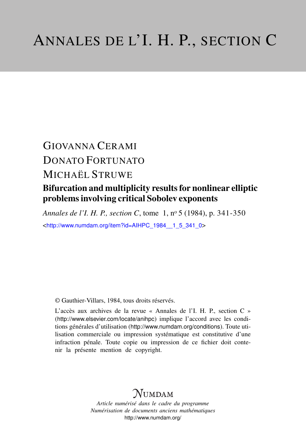# GIOVANNA CERAMI DONATO FORTUNATO MICHAËL STRUWE

### Bifurcation and multiplicity results for nonlinear elliptic problems involving critical Sobolev exponents

*Annales de l'I. H. P., section C*, tome 1, n<sup>o</sup> 5 (1984), p. 341-350 <[http://www.numdam.org/item?id=AIHPC\\_1984\\_\\_1\\_5\\_341\\_0](http://www.numdam.org/item?id=AIHPC_1984__1_5_341_0)>

© Gauthier-Villars, 1984, tous droits réservés.

L'accès aux archives de la revue « Annales de l'I. H. P., section C » (<http://www.elsevier.com/locate/anihpc>) implique l'accord avec les conditions générales d'utilisation (<http://www.numdam.org/conditions>). Toute utilisation commerciale ou impression systématique est constitutive d'une infraction pénale. Toute copie ou impression de ce fichier doit contenir la présente mention de copyright.

### $N$ UMDAM

*Article numérisé dans le cadre du programme Numérisation de documents anciens mathématiques* <http://www.numdam.org/>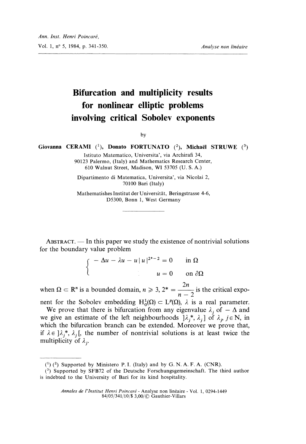## Bifurcation and multiplicity results for nonlinear elliptic problems involving critical Sobolev exponents

by

Giovanna CERAMI  $(1)$ , Donato FORTUNATO  $(2)$ , Michaël STRUWE  $(3)$ 

Istituto Matematico, Universita', via Archirafi 34, 90123 Palermo, (Italy) and Mathematics Research Center, 610 Walnut Street, Madison, WI 53705 (U. S. A.)

Dipartimento di Matematica, Universita', via Nicolai 2, 70100 Bari (Italy)

Mathematishes Institut der Universitat, Beringstrasse 4-6, D5300, Bonn 1, West Germany

ABSTRACT. — In this paper we study the existence of nontrivial solutions

for the boundary value problem<br>  $\begin{cases}\n-\Delta u - \lambda u - u |u|^{2^*-2} = 0 & \text{in } \Omega \\
u = 0 & \text{on } \partial\Omega\n\end{cases}$ 

when  $\Omega \subset \mathbb{R}^n$  is a bounded domain,  $n \geq 3$ ,  $2^* = \frac{2n}{n-2}$  is the critical expo-

nent for the Sobolev embedding  $H_0^1(\Omega) \subset L^p(\Omega)$ ,  $\lambda$  is a real parameter. We prove that there is bifurcation from any eigenvalue  $\lambda_i$ , of  $-\Delta$  and we give an estimate of the left neighbourhoods  $]\lambda_i^*, \lambda_j]$  of  $\lambda_i$ ,  $j \in \mathbb{N}$ , in which the bifurcation branch can be extended. Moreover we prove that, if  $\lambda \in ]\lambda_i^*, \lambda_i[$ , the number of nontrivial solutions is at least twice the multiplicity of  $\lambda_i$ .

Annales de l'Institut Henri Poincaré - Analyse non linéaire - Vol. 1, 0294-1449 84/05/341/10/S 3,00/© Gauthier-Villars

 $(1)$  (2) Supported by Ministero P. I. (Italy) and by G. N. A. F. A. (CNR).

<sup>(3)</sup> Supported by SFB72 of the Deutsche Forschungsgemeinschaft. The third author is indebted to the University of Bari for its kind hospitality.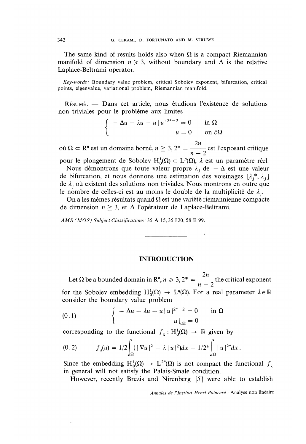The same kind of results holds also when  $\Omega$  is a compact Riemannian manifold of dimension  $n \geq 3$ , without boundary and  $\Delta$  is the relative Laplace-Beltrami operator.

Key~-words : Boundary value problem, critical Sobolev exponent, bifurcation, critical points, eigenvalue, variational problem, Riemannian manifold.

RESUME. - Dans cet article, nous etudions l'existence de solutions non triviales pour le probleme aux limites

$$
\begin{cases}\n-\Delta u - \lambda u - u |u|^{2^*-2} = 0 & \text{in } \Omega \\
u = 0 & \text{on } \partial\Omega\n\end{cases}
$$

où  $\Omega \subset \mathbb{R}^n$  est un domaine borné,  $n \geq 3$ ,  $2^* = \frac{2n}{n-2}$  est l'exposant critique pour le plongement de Sobolev  $H_0^1(\Omega) \subset L^p(\Omega)$ ,  $\lambda$  est un paramètre réel.

Nous démontrons que toute valeur propre  $\lambda_i$ , de  $-\Delta$  est une valeur de bifurcation, et nous donnons une estimation des voisinages  $[\lambda_j^*, \lambda_j]$ de  $\lambda_i$  où existent des solutions non triviales. Nous montrons en outre que le nombre de celles-ci est au moins le double de la multiplicité de  $\lambda_j$ .<br>On a les mêmes résultats quand  $\Omega$  est une variété riemannienne compacte

de dimension  $n \geq 3$ , et  $\Delta$  l'opérateur de Laplace-Beltrami.

AMS (MOS) Subject Classifications : 35 A 15, 35 J 20, 58 E 99.

#### INTRODUCTION

Let  $\Omega$  be a bounded domain in  $\mathbb{R}^n$ ,  $n \geq 3$ ,  $2^* = \frac{2n}{n-2}$  the critical exponent for the Sobolev embedding  $H_0^1(\Omega) \to L^q(\Omega)$ . For a real parameter  $\lambda \in \mathbb{R}$ consider the boundary value problem

(0.1) 
$$
\begin{cases} -\Delta u - \lambda u - u |u|^{2^*-2} = 0 & \text{in } \Omega \\ u |_{\partial \Omega} = 0 \end{cases}
$$

corresponding to the functional  $f_{\lambda} : H_0^1(\Omega) \to \mathbb{R}$  given by

$$
(0.2) \t f_{\lambda}(u) = 1/2 \int_{\Omega} (|\nabla u|^2 - \lambda |u|^2) dx - 1/2^* \int_{\Omega} |u|^{2^*} dx.
$$

Since the embedding  $H_0^1(\Omega) \to L^{2*}(\Omega)$  is not compact the functional  $f_{\lambda}$ in general will not satisfy the Palais-Smale condition.

However, recently Brezis and Nirenberg [5] were able to establish

Annales de l'lnstitut Henri Poincaré - Analyse non linéaire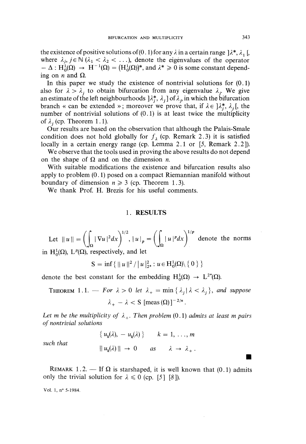the existence of positive solutions of (0.1) for any  $\lambda$  in a certain range  $\lambda^*, \lambda, \lambda, \lambda$ where  $\lambda_i, j \in \mathbb{N}$  ( $\lambda_1 < \lambda_2 < \ldots$ ), denote the eigenvalues of the operator  $- \Delta : H_0^1(\Omega) \rightarrow H^{-1}(\Omega) = (H_0^1(\Omega))^*$ , and  $\lambda^* \geq 0$  is some constant depending on *n* and  $\Omega$ .

In this paper we study the existence of nontrivial solutions for  $(0.1)$ also for  $\lambda > \lambda$ , to obtain bifurcation from any eigenvalue  $\lambda$ . We give an estimate of the left neighbourhoods  $[A_j^*, \lambda_j]$  of  $\lambda_j$ , in which the bifurcation branch « can be extended »; moreover we prove that, if  $\lambda \in \mathcal{X}^*, \lambda_i$ , the number of nontrivial solutions of (0.1) is at least twice the multiplicity of  $\lambda$ , (cp. Theorem 1.1).

Our results are based on the observation that although the Palais-Smale condition does not hold globally for  $f_{\lambda}$  (cp. Remark 2.3) it is satisfied locally in a certain energy range (cp. Lemma 2.1 or [5, Remark 2.2]).

We observe that the tools used in proving the above results do not depend on the shape of  $\Omega$  and on the dimension *n*.

With suitable modifications the existence and bifurcation results also apply to problem (0.1) posed on a compact Riemannian manifold without boundary of dimension  $n \geq 3$  (cp. Theorem 1.3).

We thank Prof. H. Brezis for his useful comments.

#### 1. RESULTS

Let  $||u|| = \left(\int_{\Omega} |\nabla u|^2 dx\right)^{1/2}, |u|_p = \left(\int_{\Omega} |u|^p dx\right)^{1/p}$  denote the norms in H<sub>0</sub>( $\Omega$ ), L<sup>p</sup>( $\Omega$ ), respectively, and let

$$
S = \inf \{ ||u||^2 / |u||_{2^*}^2 : u \in H_0^1(\Omega) \setminus \{ 0 \} \}
$$

denote the best constant for the embedding  $H_0^1(\Omega) \rightarrow L^{2*}(\Omega)$ .

THEOREM 1.1. - For  $\lambda > 0$  let  $\lambda_{+} = \min \{\lambda_{i} | \lambda < \lambda_{i}\}\$ , and suppose  $\lambda_{+} - \lambda < S$  [meas  $(\Omega)$ ]<sup>-2/n</sup>.

Let m be the multiplicity of  $\lambda_+$ . Then problem (0.1) admits at least m pairs of nontrivial solutions

$$
\{u_k(\lambda), -u_k(\lambda)\} \qquad k = 1, ..., m
$$

$$
\|u_k(\lambda)\| \to 0 \qquad as \qquad \lambda \to \lambda_+.
$$

such that

REMARK 1.2. — If  $\Omega$  is starshaped, it is well known that (0.1) admits only the trivial solution for  $\lambda \leq 0$  (cp. [5][8]).

Vol. 1, n° 5-1984.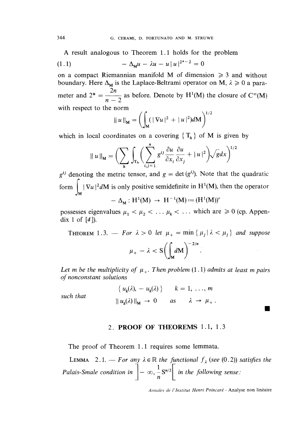A result analogous to Theorem 1.1 holds for the problem

(1.1) 
$$
-\Delta_{\mathbf{M}}u - \lambda u - u |u|^{2^{*}-2} = 0
$$

on a compact Riemannian manifold M of dimension  $\geq 3$  and without boundary. Here  $\Delta_M$  is the Laplace-Beltrami operator on M,  $\lambda \geq 0$  a parameter and  $2^* = \frac{2n}{n-2}$  as before. Denote by H<sup>1</sup>(M) the closure of C<sup>∞</sup>(M) with respect to the norm

$$
|| u ||_{\mathbf{M}} = \left( \int_{\mathbf{M}} (|| \nabla u ||^2 + || u ||^2) d\mathbf{M} \right)^{1/2}
$$

which in local coordinates on a covering  $\{T_h\}$  of M is given by

$$
\|u\|_{\mathbf{M}} = \bigg(\sum_{h} \int_{\mathbf{T}_h} \bigg(\sum_{i,j=1}^n g^{ij} \frac{\partial u}{\partial x_i} \frac{\partial u}{\partial x_j} + |u|^2\bigg) \sqrt{g} dx\bigg)^{1/2}
$$

 $g^{ij}$  denoting the metric tensor, and  $g = \det(g^{ij})$ . Note that the quadratic form  $\int_{M} |\nabla u|^2 dM$  is only positive semidefinite in H<sup>1</sup>(M), then the operator

$$
- \Delta_{\mathbf{M}} : \mathbf{H}^{1}(\mathbf{M}) \to \mathbf{H}^{-1}(\mathbf{M}) := (\mathbf{H}^{1}(\mathbf{M}))^{c}
$$

possesses eigenvalues  $\mu_1 < \mu_2 < \ldots \mu_k < \ldots$  which are  $\geq 0$  (cp. Appendix 1 of  $[4]$ ).

THEOREM 1.3. – For  $\lambda > 0$  let  $\mu_+ = \min \{ \mu_j | \lambda < \mu_j \}$  and suppose  $\mu_{+} - \lambda < S \left( \int_{\mathcal{M}} dM \right)^{-2/n}.$ 

Let m be the multiplicity of  $\mu_+$ . Then problem (1.1) admits at least m pairs of nonconstant solutions

such that

$$
\{u_k(\lambda), -u_k(\lambda)\} \qquad k = 1, \ldots, m
$$

$$
||u_k(\lambda)||_M \to 0 \qquad as \qquad \lambda \to \mu_+
$$

#### 2. PROOF OF THEOREMS 1.1, 1. 3

The proof of Theorem l.l requires some lemmata.

**LEMMA** 2.1. - For any  $\lambda \in \mathbb{R}$  the functional  $f_{\lambda}$  (see (0.2)) satisfies the Palais-Smale condition in  $\left]-\infty,\frac{1}{n}S^{n/2}\right[$  in the following sense:

Annales de 1'Institut Henri Poincaré - Analyse non linéaire

**COL**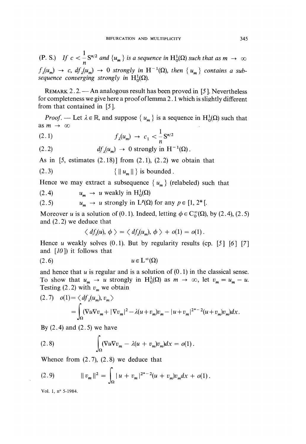(P. S.) If  $c < \frac{1}{n} S^{n/2}$  and  $\{u_m\}$  is a sequence in  $H_0^1(\Omega)$  such that as  $m \to \infty$  $f_{\lambda}(u_m) \rightarrow c, df_{\lambda}(u_m) \rightarrow 0$  strongly in  $H^{-1}(\Omega)$ , then  $\{u_m\}$  contains a subsequence converging strongly in  $H_0^1(\Omega)$ .

REMARK 2.2. - An analogous result has been proved in [5]. Nevertheless for completeness we give here a proof of lemma 2 .1 which is slightly different from that contained in [S ].

*Proof.* — Let  $\lambda \in \mathbb{R}$ , and suppose  $\{u_m\}$  is a sequence in  $H_0^1(\Omega)$  such that as  $m \rightarrow \infty$ 

(2.1) 
$$
f_{\lambda}(u_{m}) \rightarrow c_{1} < \frac{1}{n} S^{n/2}
$$

(2.2) 
$$
df_{\lambda}(u_{m}) \rightarrow 0 \text{ strongly in } H^{-1}(\Omega).
$$

As in  $[5,$  estimates  $(2.18)$  from  $(2.1)$ ,  $(2.2)$  we obtain that

$$
(2.3) \t\t\t\t\t\t {||u_m||}\s \text{ is bounded}
$$

Hence we may extract a subsequence  $\{u_m\}$  (relabeled) such that

(2.4) 
$$
u_m \to u \text{ weakly in } H_0^1(\Omega)
$$

(2.5) 
$$
u_m \to u
$$
 strongly in  $L^p(\Omega)$  for any  $p \in [1, 2^*]$ .

Moreover u is a solution of (0.1). Indeed, letting  $\phi \in C_0^{\infty}(\Omega)$ , by (2.4), (2.5) and (2.2) we deduce that

$$
\langle df_{\lambda}(u), \phi \rangle = \langle df_{\lambda}(u_m), \phi \rangle + o(1) = o(1).
$$

Hence u weakly solves  $(0.1)$ . But by regularity results  $(cp. [5] [6] [7]$ and  $[10]$  it follows that

$$
(2.6) \t u \in L^{\infty}(\Omega)
$$

and hence that  $u$  is regular and is a solution of  $(0.1)$  in the classical sense. To show that  $u_m \to u$  strongly in  $H_0^1(\Omega)$  as  $m \to \infty$ , let  $v_m = u_m - u$ . Testing (2.2) with  $v_m$  we obtain

$$
(2.7) \quad o(1) = \langle df_{\lambda}(u_m), v_m \rangle
$$
  
= 
$$
\int_{\Omega} (\nabla u \nabla v_m + |\nabla v_m|^2 - \lambda (u + v_m) v_m - |u + v_m|^{2^{*}-2} (u + v_m) v_m) dx.
$$

By  $(2.4)$  and  $(2.5)$  we have

(2.8) 
$$
\int_{\Omega} (\nabla u \nabla v_m - \lambda (u + v_m) v_m) dx = o(1).
$$

Whence from  $(2.7)$ ,  $(2.8)$  we deduce that

(2.9) 
$$
\|v_m\|^2 = \int_{\Omega} |u + v_m|^{2^{*}-2} (u + v_m)v_m dx + o(1).
$$

Vol. 1, n° 5-1984.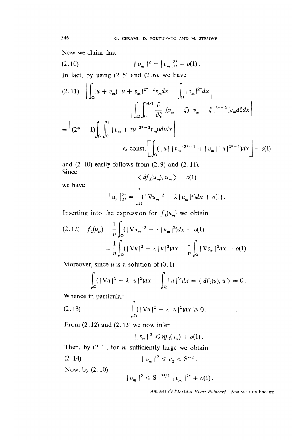Now we claim that

$$
(2.10) \t\t\t ||v_m||^2 = |v_m|_{2^*}^{2^*} + o(1).
$$

In fact, by using  $(2.5)$  and  $(2.6)$ , we have

$$
(2.11) \quad \left| \int_{\Omega} (u + v_m) \, | \, u + v_m |^{2^{*}-2} v_m dx - \int_{\Omega} |v_m|^{2^{*}} dx \right|
$$
\n
$$
= \left| \int_{\Omega} \int_{0}^{u(x)} \frac{\partial}{\partial \xi} \left[ (v_m + \xi) \, | \, v_m + \xi \, |^{2^{*}-2} \right] v_m d\xi dx \right|
$$
\n
$$
= \left| (2^{*} - 1) \int_{\Omega} \int_{0}^{1} |v_m + tu|^{2^{*}-2} v_m u dt dx \right|
$$
\n
$$
\le \text{const.} \left[ \int_{\Omega} (|u| \, | \, v_m|^{2^{*}-1} + |v_m| \, | \, u|^{2^{*}-1}) dx \right] = o(1)
$$

and  $(2.10)$  easily follows from  $(2.9)$  and  $(2.11)$ . Since

$$
\langle df_{\lambda}(u_{m}), u_{m} \rangle = o(1)
$$

we have

$$
|u_m|_{2^*}^{2^*} = \int_{\Omega} (|\nabla u_m|^2 - \lambda |u_m|^2) dx + o(1).
$$

Inserting into the expression for  $f_{\lambda}(u_m)$  we obtain

$$
(2.12) \quad f_{\lambda}(u_{m}) = \frac{1}{n} \int_{\Omega} (|\nabla u_{m}|^{2} - \lambda |u_{m}|^{2}) dx + o(1)
$$

$$
= \frac{1}{n} \int_{\Omega} (|\nabla u|^{2} - \lambda |u|^{2}) dx + \frac{1}{n} \int_{\Omega} |\nabla v_{m}|^{2} dx + o(1).
$$

Moreover, since  $u$  is a solution of  $(0.1)$ 

$$
\int_{\Omega} (|\nabla u|^2 - \lambda |u|^2) dx - \int_{\Omega} |u|^{2^*} dx = \langle df_{\lambda}(u), u \rangle = 0.
$$

Whence in particular

$$
(2.13)\qquad \qquad \int_{\Omega} (|\nabla u|^2 - \lambda |u|^2) dx \geq 0
$$

From  $(2.12)$  and  $(2.13)$  we now infer

$$
||v_m||^2 \leqslant nf_{\lambda}(u_m) + o(1).
$$

Then, by  $(2.1)$ , for *m* sufficiently large we obtain

 $||v_m||^2 \leq c_2 < S^{n/2}$ .  $(2.14)$ 

Now, by (2.10)

$$
|| v_m ||^2 \leq S^{-2^{*}/2} || v_m ||^{2^{*}} + o(1)
$$

Annales de 1'lnstitut Henri Poincaré - Analyse non linéaire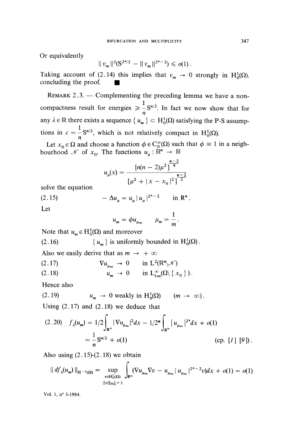Or equivalently

$$
||v_m||^2(\mathbf{S}^{2^*/2} - ||v_m||^{2^*-2}) \leqslant o(1)
$$

Taking account of (2.14) this implies that  $v_m \to 0$  strongly in H<sub>0</sub>( $\Omega$ ). concluding the proof..

REMARK  $2.3$ . - Complementing the preceding lemma we have a noncompactness result for energies  $\geq \frac{1}{n} S^{n/2}$ . In fact we now show that for any  $\lambda \in \mathbb{R}$  there exists a sequence  $\{u_m\} \subset H_0^1(\Omega)$  satisfying the P-S assumptions in  $c = \frac{1}{n} S^{n/2}$ , which is not relatively compact in H<sub>0</sub>( $\Omega$ ).

Let  $x_0 \in \Omega$  and choose a function  $\phi \in C_0^{\infty}(\Omega)$  such that  $\phi \equiv 1$  in a neighbourhood  $\mathcal N$  of  $x_0$ . The functions  $u_\mu : \mathbb{R}^n \to \mathbb{R}$ 

$$
u_{\mu}(x) = \frac{\left[n(n-2)\mu^2\right]^{\frac{n-2}{4}}}{\left[\mu^2 + |x - x_0|^2\right]^{\frac{n-2}{2}}}
$$

solve the equation

 $-\Delta u_{\mu} = u_{\mu} |u_{\mu}|^{2^{*}-2}$  in R<sup>n</sup>.  $(2.15)$ 

Let

$$
u_m = \phi u_{\mu_m} \qquad \mu_m = \frac{1}{m}.
$$

Note that  $u_m \in H_0^1(\Omega)$  and moreover

(2.16)  $\{u_m\}$  is uniformly bounded in  $H_0^1(\Omega)$ .

Also we easily derive that as  $m \rightarrow +\infty$ 

(2.17) 
$$
\nabla u_{\mu_m} \to 0 \quad \text{in } L^2(\mathbb{R}^m \setminus \mathcal{N})
$$
  
(2.18) 
$$
u_m \to 0 \quad \text{in } L^{\infty}_{loc}(\Omega \setminus \{x_0\}).
$$

Hence also

$$
(2.19) \t u_m \to 0 \text{ weakly in } H_0^1(\Omega) \t (m \to \infty).
$$

Using  $(2.17)$  and  $(2.18)$  we deduce that

$$
(2.20) \quad f_{\lambda}(u_{m}) = 1/2 \int_{\mathbb{R}^{n}} |\nabla u_{\mu_{m}}|^{2} dx - 1/2^{*} \int_{\mathbb{R}^{n}} |u_{\mu_{m}}|^{2^{*}} dx + o(1)
$$

$$
= \frac{1}{n} \mathbf{S}^{n/2} + o(1) \qquad \text{(cp. [1] [9]).}
$$

Also using  $(2.15)-(2.18)$  we obtain

$$
|| df_{\lambda}(u_{m}) ||_{H^{-1}(\Omega)} = \sup_{\substack{v \in H_{0}^{1}(\Omega) \\ ||v||_{H_{0}^{1}} = 1}} \int_{\mathbb{R}^{n}} ( \nabla u_{\mu_{m}} \nabla v - u_{\mu_{m}} | u_{\mu_{m}} |^{2^{*}-2} v ) dx + o(1) = o(1)
$$

Vol. 1, n° 5-1984.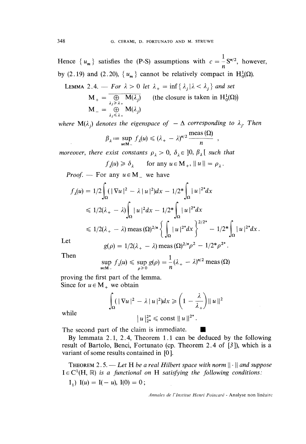Hence  $\{u_m\}$  satisfies the (P-S) assumptions with  $c = \frac{1}{n} S^{n/2}$ , however, by (2.19) and (2.20),  $\{u_m\}$  cannot be relatively compact in  $H_0^1(\Omega)$ .

LEMMA 2.4. 
$$
-
$$
 For  $\lambda > 0$  let  $\lambda_{+} = \inf \{ \lambda_{j} | \lambda < \lambda_{j} \}$  and set  
\n
$$
M_{+} = \overline{\bigoplus_{\lambda_{j} \ge \lambda_{+}} M(\lambda_{j})}
$$
 (the closure is taken in H<sub>0</sub><sup>1</sup>(\Omega))  
\n
$$
M_{-} = \bigoplus_{\lambda_{j} \le \lambda_{+}} M(\lambda_{j})
$$

where  $\mathbf{M}(\lambda_i)$  denotes the eigenspace of  $-\Delta$  corresponding to  $\lambda_j$ . Then

$$
\beta_{\lambda} := \sup_{u \in M_{-}} f_{\lambda}(u) \leq (\lambda_{+} - \lambda)^{n/2} \frac{\text{meas}(\Omega)}{n}
$$

moreover, there exist constants  $\rho_{\lambda} > 0$ ,  $\delta_{\lambda} \in ]0, \beta_{\lambda}]$  such that

$$
f_{\lambda}(u) \geq \delta_{\lambda}
$$
 for any  $u \in M_{+}$ ,  $||u|| = \rho_{\lambda}$ .

*Proof.* — For any  $u \in M$  we have

$$
f_{\lambda}(u) = 1/2 \int_{\Omega} (|\nabla u|^2 - \lambda |u|^2) dx - 1/2^* \int_{\Omega} |u|^{2^*} dx
$$
  
\n
$$
\leq 1/2(\lambda_+ - \lambda) \int_{\Omega} |u|^2 dx - 1/2^* \int_{\Omega} |u|^{2^*} dx
$$
  
\n
$$
\leq 1/2(\lambda_+ - \lambda) \operatorname{meas} (\Omega)^{2/n} \left\{ \int_{\Omega} |u|^{2^*} dx \right\}^{2/2^*} - 1/2^* \int_{\Omega} |u|^{2^*} dx
$$

Let

$$
g(\rho) = 1/2(\lambda_{+} - \lambda) \text{ meas } (\Omega)^{2/n} \rho^{2} - 1/2^{*} \rho^{2^{*}}.
$$

Then

$$
\sup_{u \in M_-} f_\lambda(u) \leq \sup_{\rho \geq 0} g(\rho) = \frac{1}{n} (\lambda_+ - \lambda)^{n/2} \operatorname{meas}(\Omega)
$$

proving the first part of the lemma. Since for  $u \in M_+$  we obtain

$$
\int_{\Omega} (|\nabla u|^2 - \lambda |u|^2) dx \geqslant \left(1 - \frac{\lambda}{\lambda_+}\right) ||u||^2
$$

$$
|u|_{2^*}^{2^*} \leqslant \text{const } ||u||^{2^*}.
$$

while

The second part of the claim is immediate.

By lemmata 2.1, 2.4, Theorem 1.1 can be deduced by the following result of Bartolo, Benci, Fortunato (cp. Theorem 2 . 4 of [3 ]), which is a variant of some results contained in [0].

THEOREM 2.5. - Let H be a real Hilbert space with norm  $\|\cdot\|$  and suppose  $I \in C^1(H, \mathbb{R})$  is a functional on H satisfying the following conditions:  $I_1$ )  $I(u) = I(-u), I(0) = 0;$ 

Annales de l'Institut Henri Poincaré - Analyse non linéaire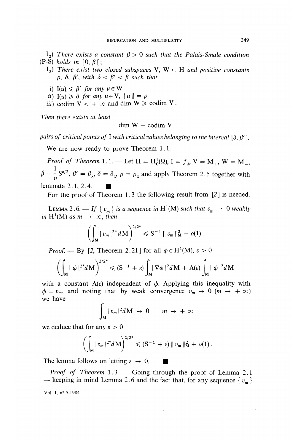- I<sub>2</sub>) There exists a constant  $\beta > 0$  such that the Palais-Smale condition  $(P-S)$  holds in  $[0, \beta]$ ;
	- $I_3$ ) There exist two closed subspaces V, W  $\subset$  H and positive constants  $\rho$ ,  $\delta$ ,  $\beta'$ , with  $\delta < \beta' < \beta$  such that
	- i)  $I(u) \leq \beta'$  for any  $u \in W$
	- ii)  $I(u) \ge \delta$  for any  $u \in V$ ,  $||u|| = \rho$
	- iii) codim  $V < +\infty$  and dim  $W \geq \text{codim } V$ .

Then there exists at least

$$
dim W - codim V
$$

pairs of critical points of I with critical values belonging to the interval  $[\delta, \beta']$ .

We are now ready to prove Theorem 1.1.

*Proof of Theorem* 1.1. — Let  $H = H_0^1(\Omega)$ ,  $I = f_1$ ,  $V = M_1$ ,  $W = M_2$ ,  $\beta = \frac{1}{n} S^{n/2}$ ,  $\beta' = \beta_{\lambda}$ ,  $\delta = \delta_{\lambda}$ ,  $\rho = \rho_{\lambda}$  and apply Theorem 2.5 together with lemmata 2.1, 2.4. /

For the proof of Theorem 1.3 the following result from [2] is needed.

LEMMA 2.6.  $-$  If  $\{v_m\}$  is a sequence in H<sup>1</sup>(M) such that  $v_m \rightharpoonup 0$  weakly in H<sup>1</sup>(M) as  $m \rightarrow \infty$ , then

$$
\left(\int_{M} |v_{m}|^{2^{*}} dM\right)^{2/2^{*}} \leqslant S^{-1} ||v_{m}||_{M}^{2} + o(1).
$$

*Proof.* — By [2, Theorem 2.21] for all  $\phi \in H^1(M)$ ,  $\varepsilon > 0$ 

$$
\left(\int_{M} |\phi|^{2^{*}} dM\right)^{2/2^{*}} \leqslant (S^{-1}+\varepsilon) \int_{M} |\nabla \phi|^{2} dM + A(\varepsilon) \int_{M} |\phi|^{2} dM
$$

with a constant  $A(\varepsilon)$  independent of  $\phi$ . Applying this inequality with  $\phi = v_m$ , and noting that by weak convergence  $v_m \to 0$  ( $m \to +\infty$ ) we have

$$
\int_{M} |v_{m}|^{2} dM \rightarrow 0 \qquad m \rightarrow +\infty
$$

we deduce that for any  $\varepsilon > 0$ 

$$
\left(\int_{M} |v_{m}|^{2^{*}} dM\right)^{2/2^{*}} \leq (S^{-1} + \varepsilon) ||v_{m}||_{M}^{2} + o(1).
$$

The lemma follows on letting  $\varepsilon \to 0$ .

*Proof of Theorem*  $1.3.$  - Going through the proof of Lemma 2.1 — keeping in mind Lemma 2.6 and the fact that, for any sequence  $\{v_m\}$ Vol. 1, n° 5-1984.